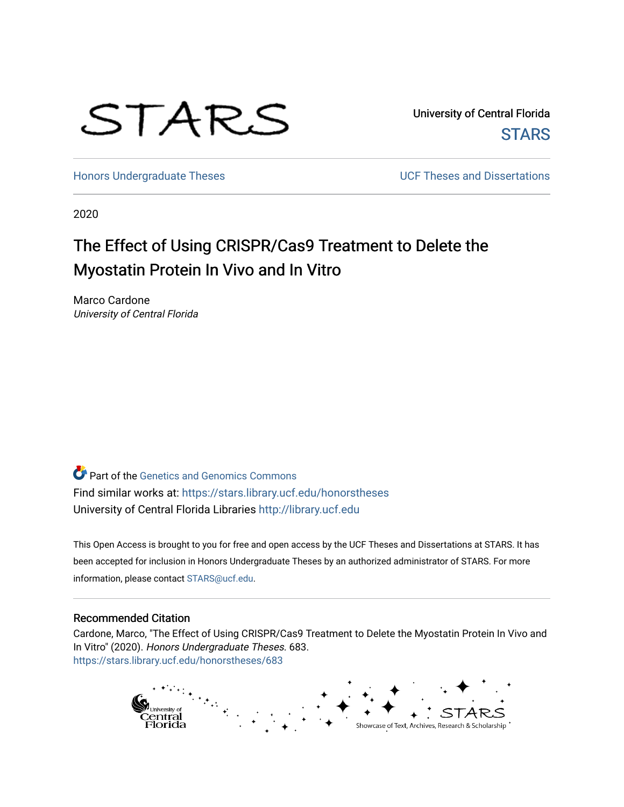# STARS

University of Central Florida **STARS** 

[Honors Undergraduate Theses](https://stars.library.ucf.edu/honorstheses) **No. 2018** UCF Theses and Dissertations

2020

## The Effect of Using CRISPR/Cas9 Treatment to Delete the Myostatin Protein In Vivo and In Vitro

Marco Cardone University of Central Florida

**Part of the [Genetics and Genomics Commons](http://network.bepress.com/hgg/discipline/27?utm_source=stars.library.ucf.edu%2Fhonorstheses%2F683&utm_medium=PDF&utm_campaign=PDFCoverPages)** Find similar works at: <https://stars.library.ucf.edu/honorstheses> University of Central Florida Libraries [http://library.ucf.edu](http://library.ucf.edu/) 

This Open Access is brought to you for free and open access by the UCF Theses and Dissertations at STARS. It has been accepted for inclusion in Honors Undergraduate Theses by an authorized administrator of STARS. For more information, please contact [STARS@ucf.edu.](mailto:STARS@ucf.edu)

#### Recommended Citation

Cardone, Marco, "The Effect of Using CRISPR/Cas9 Treatment to Delete the Myostatin Protein In Vivo and In Vitro" (2020). Honors Undergraduate Theses. 683. [https://stars.library.ucf.edu/honorstheses/683](https://stars.library.ucf.edu/honorstheses/683?utm_source=stars.library.ucf.edu%2Fhonorstheses%2F683&utm_medium=PDF&utm_campaign=PDFCoverPages) 

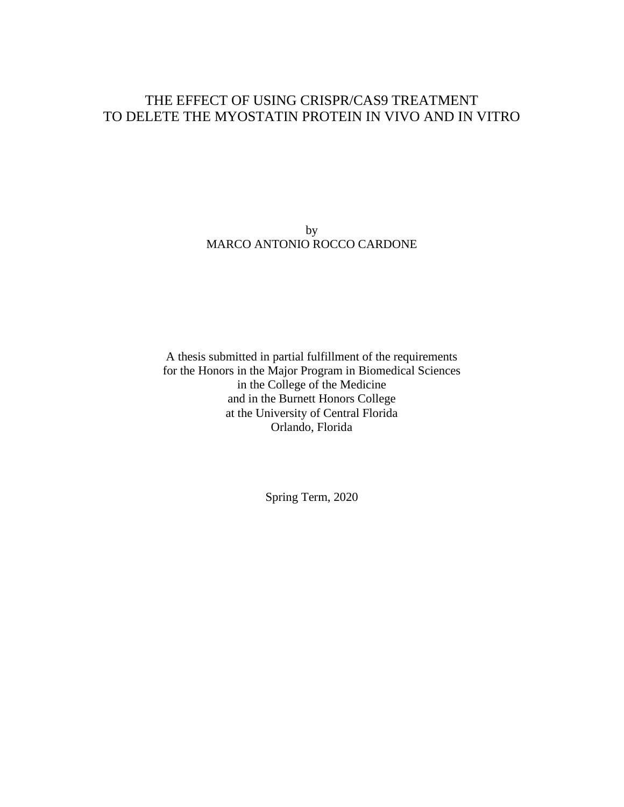## THE EFFECT OF USING CRISPR/CAS9 TREATMENT TO DELETE THE MYOSTATIN PROTEIN IN VIVO AND IN VITRO

by MARCO ANTONIO ROCCO CARDONE

A thesis submitted in partial fulfillment of the requirements for the Honors in the Major Program in Biomedical Sciences in the College of the Medicine and in the Burnett Honors College at the University of Central Florida Orlando, Florida

Spring Term, 2020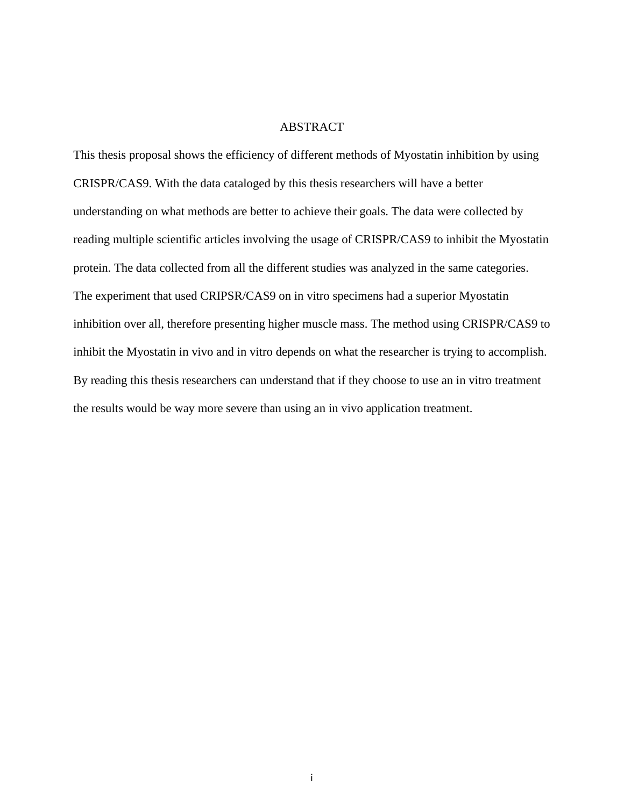#### ABSTRACT

This thesis proposal shows the efficiency of different methods of Myostatin inhibition by using CRISPR/CAS9. With the data cataloged by this thesis researchers will have a better understanding on what methods are better to achieve their goals. The data were collected by reading multiple scientific articles involving the usage of CRISPR/CAS9 to inhibit the Myostatin protein. The data collected from all the different studies was analyzed in the same categories. The experiment that used CRIPSR/CAS9 on in vitro specimens had a superior Myostatin inhibition over all, therefore presenting higher muscle mass. The method using CRISPR/CAS9 to inhibit the Myostatin in vivo and in vitro depends on what the researcher is trying to accomplish. By reading this thesis researchers can understand that if they choose to use an in vitro treatment the results would be way more severe than using an in vivo application treatment.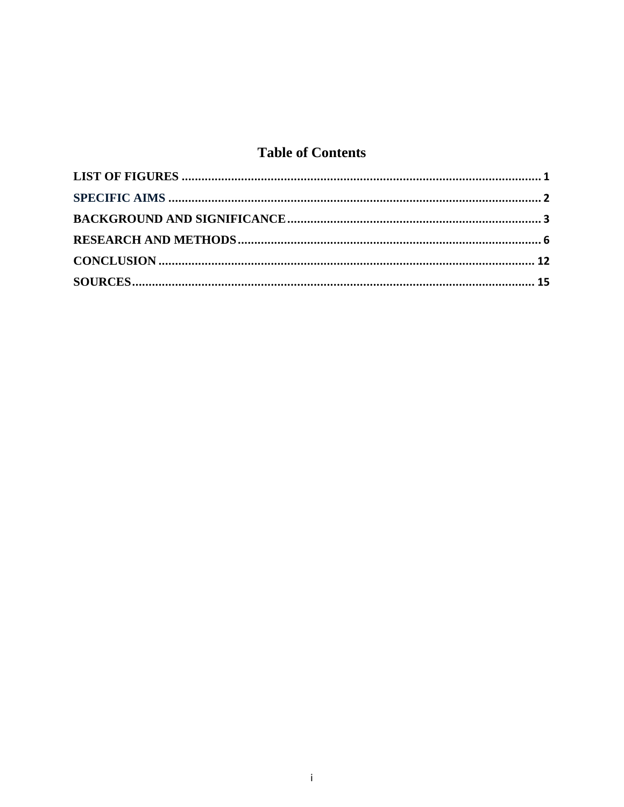## **Table of Contents**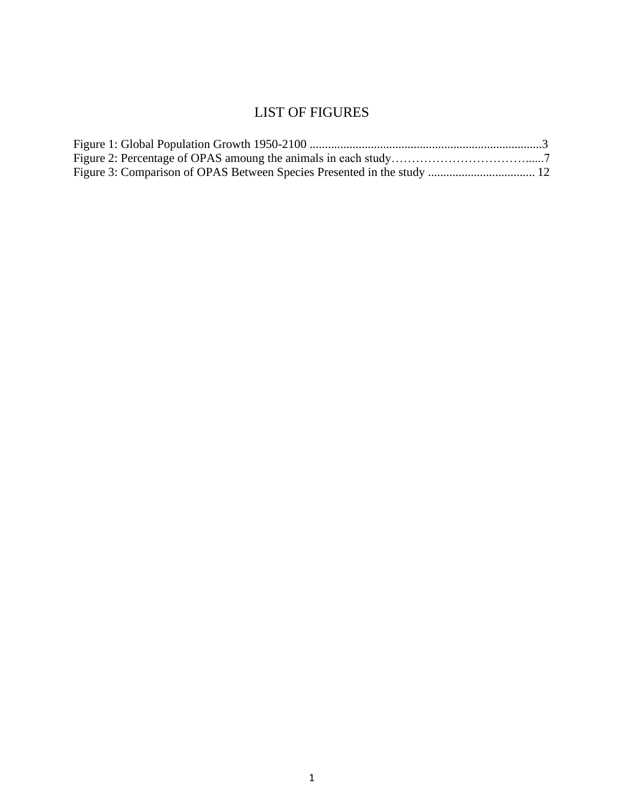## LIST OF FIGURES

<span id="page-4-0"></span>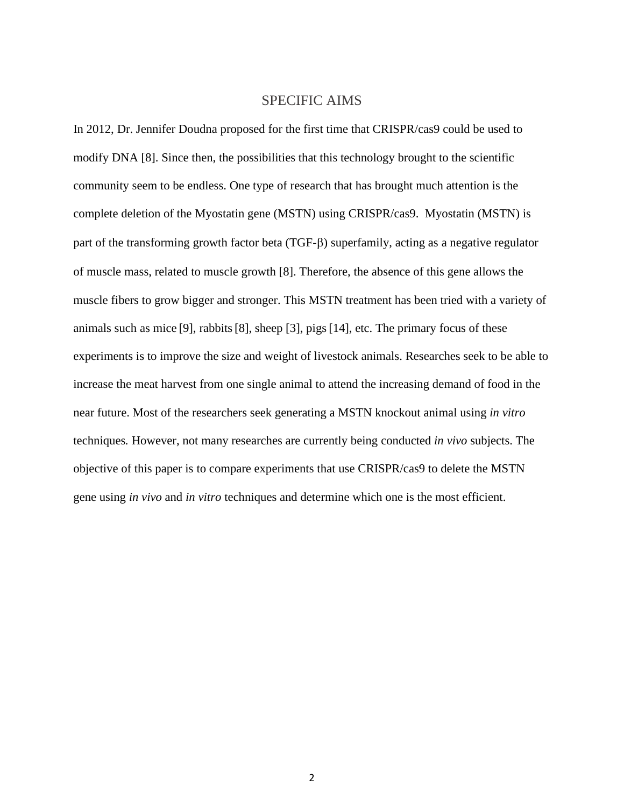#### SPECIFIC AIMS

<span id="page-5-0"></span>In 2012, Dr. Jennifer Doudna proposed for the first time that CRISPR/cas9 could be used to modify DNA [8]. Since then, the possibilities that this technology brought to the scientific community seem to be endless. One type of research that has brought much attention is the complete deletion of the Myostatin gene (MSTN) using CRISPR/cas9. Myostatin (MSTN) is part of the transforming growth factor beta  $(TGF- $\beta$ ) superfamily, acting as a negative regulator$ of muscle mass, related to muscle growth [8]. Therefore, the absence of this gene allows the muscle fibers to grow bigger and stronger. This MSTN treatment has been tried with a variety of animals such as mice [9], rabbits[8], sheep [3], pigs[14], etc. The primary focus of these experiments is to improve the size and weight of livestock animals. Researches seek to be able to increase the meat harvest from one single animal to attend the increasing demand of food in the near future. Most of the researchers seek generating a MSTN knockout animal using *in vitro* techniques*.* However, not many researches are currently being conducted *in vivo* subjects. The objective of this paper is to compare experiments that use CRISPR/cas9 to delete the MSTN gene using *in vivo* and *in vitro* techniques and determine which one is the most efficient.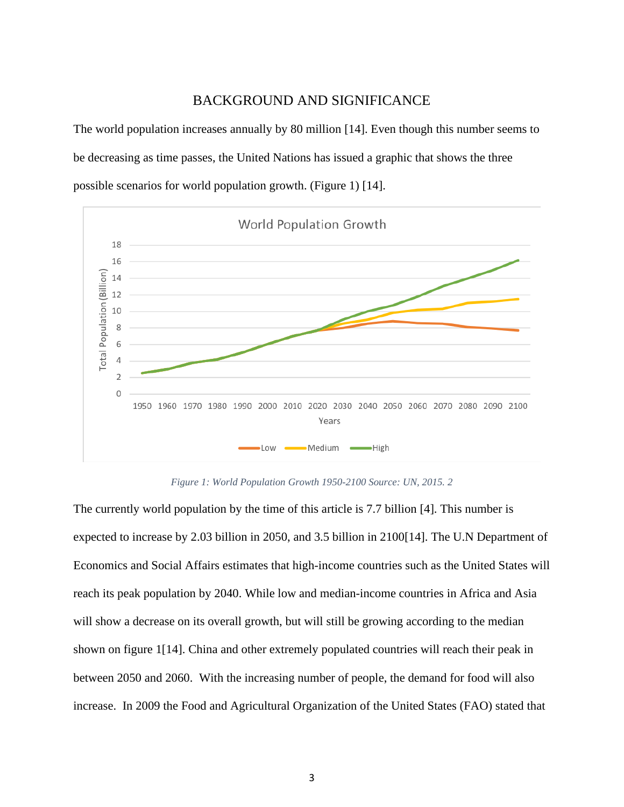#### BACKGROUND AND SIGNIFICANCE

<span id="page-6-0"></span>The world population increases annually by 80 million [14]. Even though this number seems to be decreasing as time passes, the United Nations has issued a graphic that shows the three possible scenarios for world population growth. (Figure 1) [14].



*Figure 1: World Population Growth 1950-2100 Source: UN, 2015. 2*

The currently world population by the time of this article is 7.7 billion [4]. This number is expected to increase by 2.03 billion in 2050, and 3.5 billion in 2100[14]. The U.N Department of Economics and Social Affairs estimates that high-income countries such as the United States will reach its peak population by 2040. While low and median-income countries in Africa and Asia will show a decrease on its overall growth, but will still be growing according to the median shown on figure 1[14]. China and other extremely populated countries will reach their peak in between 2050 and 2060. With the increasing number of people, the demand for food will also increase. In 2009 the Food and Agricultural Organization of the United States (FAO) stated that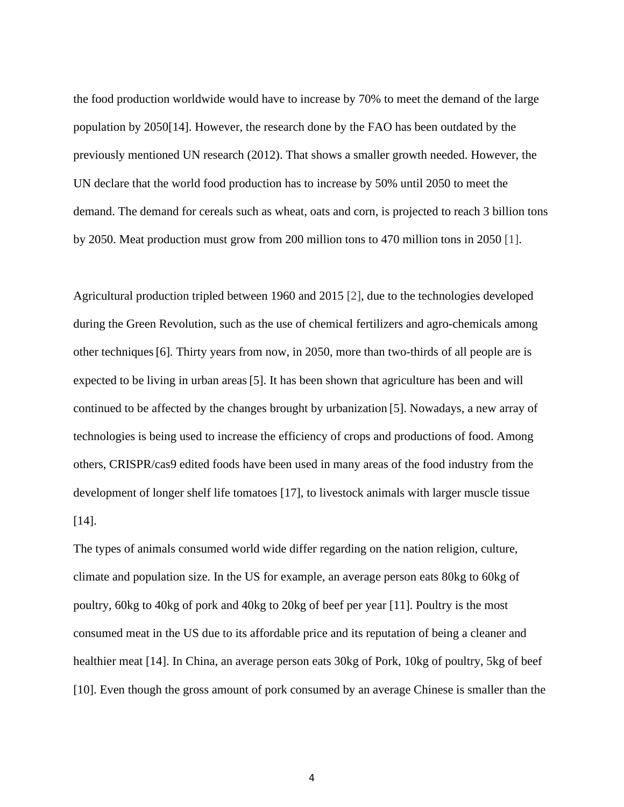the food production worldwide would have to increase by 70% to meet the demand of the large population by 2050[14]. However, the research done by the FAO has been outdated by the previously mentioned UN research (2012). That shows a smaller growth needed. However, the UN declare that the world food production has to increase by 50% until 2050 to meet the demand. The demand for cereals such as wheat, oats and corn, is projected to reach 3 billion tons by 2050. Meat production must grow from 200 million tons to 470 million tons in 2050 [1].

Agricultural production tripled between 1960 and 2015 [2], due to the technologies developed during the Green Revolution, such as the use of chemical fertilizers and agro-chemicals among other techniques[6]. Thirty years from now, in 2050, more than two-thirds of all people are is expected to be living in urban areas [5]. It has been shown that agriculture has been and will continued to be affected by the changes brought by urbanization [5]. Nowadays, a new array of technologies is being used to increase the efficiency of crops and productions of food. Among others, CRISPR/cas9 edited foods have been used in many areas of the food industry from the development of longer shelf life tomatoes [17], to livestock animals with larger muscle tissue [14].

The types of animals consumed world wide differ regarding on the nation religion, culture, climate and population size. In the US for example, an average person eats 80kg to 60kg of poultry, 60kg to 40kg of pork and 40kg to 20kg of beef per year [11]. Poultry is the most consumed meat in the US due to its affordable price and its reputation of being a cleaner and healthier meat [14]. In China, an average person eats 30kg of Pork, 10kg of poultry, 5kg of beef [10]. Even though the gross amount of pork consumed by an average Chinese is smaller than the

4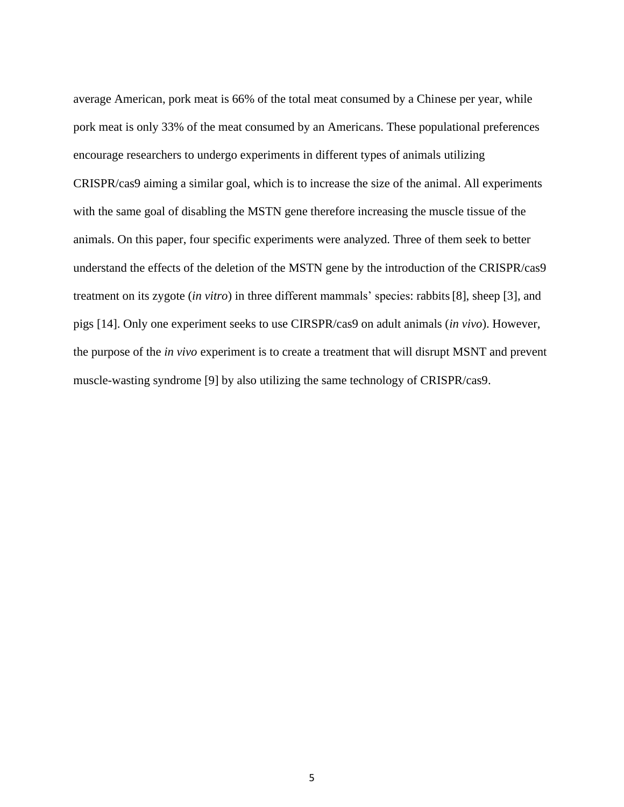average American, pork meat is 66% of the total meat consumed by a Chinese per year, while pork meat is only 33% of the meat consumed by an Americans. These populational preferences encourage researchers to undergo experiments in different types of animals utilizing CRISPR/cas9 aiming a similar goal, which is to increase the size of the animal. All experiments with the same goal of disabling the MSTN gene therefore increasing the muscle tissue of the animals. On this paper, four specific experiments were analyzed. Three of them seek to better understand the effects of the deletion of the MSTN gene by the introduction of the CRISPR/cas9 treatment on its zygote (*in vitro*) in three different mammals' species: rabbits[8], sheep [3], and pigs [14]. Only one experiment seeks to use CIRSPR/cas9 on adult animals (*in vivo*). However, the purpose of the *in vivo* experiment is to create a treatment that will disrupt MSNT and prevent muscle-wasting syndrome [9] by also utilizing the same technology of CRISPR/cas9.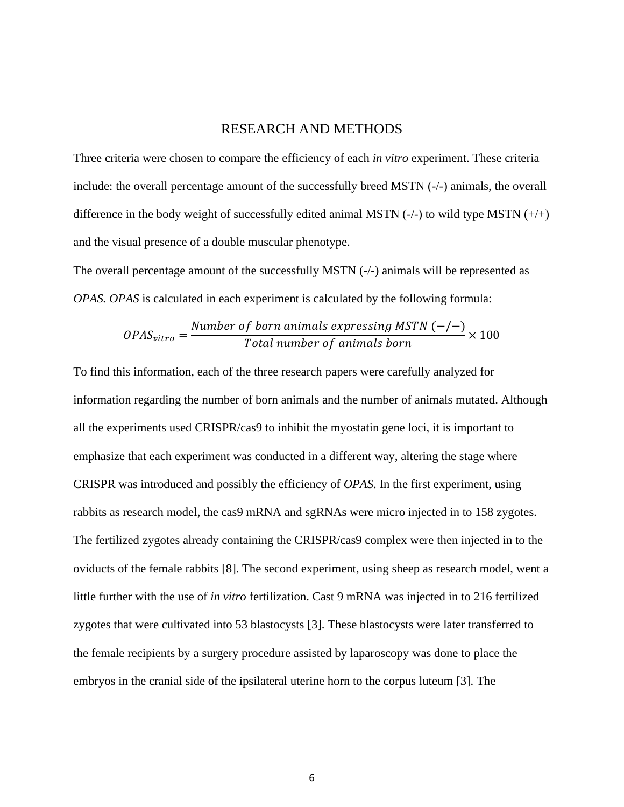## RESEARCH AND METHODS

<span id="page-9-0"></span>Three criteria were chosen to compare the efficiency of each *in vitro* experiment. These criteria include: the overall percentage amount of the successfully breed MSTN (-/-) animals, the overall difference in the body weight of successfully edited animal MSTN  $(-/-)$  to wild type MSTN  $(+/+)$ and the visual presence of a double muscular phenotype.

The overall percentage amount of the successfully MSTN (-/-) animals will be represented as *OPAS. OPAS* is calculated in each experiment is calculated by the following formula:

$$
OPAS_{vitro} = \frac{Number\ of\ born\ animals\ expressing\ MSTN\ (--/-)}{Total\ number\ of\ animals\ born} \times 100
$$

To find this information, each of the three research papers were carefully analyzed for information regarding the number of born animals and the number of animals mutated. Although all the experiments used CRISPR/cas9 to inhibit the myostatin gene loci, it is important to emphasize that each experiment was conducted in a different way, altering the stage where CRISPR was introduced and possibly the efficiency of *OPAS*. In the first experiment, using rabbits as research model, the cas9 mRNA and sgRNAs were micro injected in to 158 zygotes. The fertilized zygotes already containing the CRISPR/cas9 complex were then injected in to the oviducts of the female rabbits [8]. The second experiment, using sheep as research model, went a little further with the use of *in vitro* fertilization. Cast 9 mRNA was injected in to 216 fertilized zygotes that were cultivated into 53 blastocysts [3]. These blastocysts were later transferred to the female recipients by a surgery procedure assisted by laparoscopy was done to place the embryos in the cranial side of the ipsilateral uterine horn to the corpus luteum [3]. The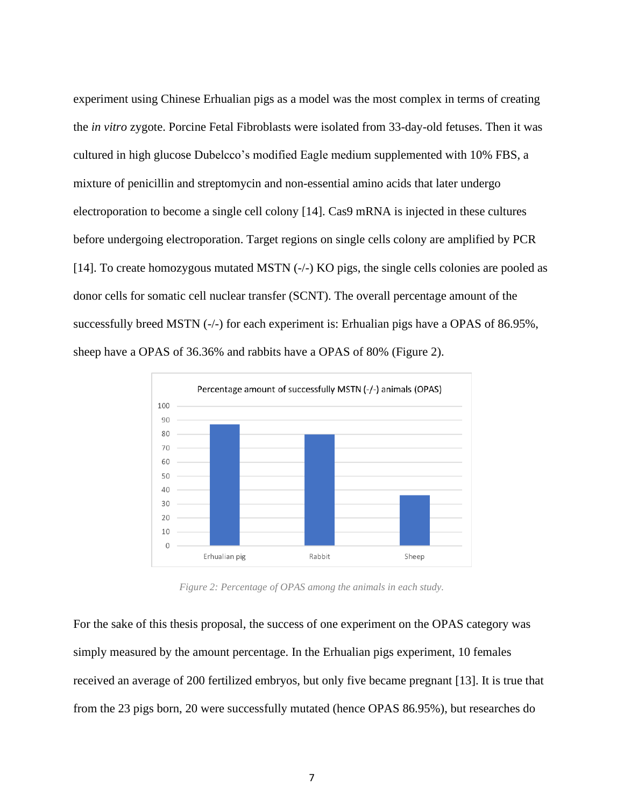experiment using Chinese Erhualian pigs as a model was the most complex in terms of creating the *in vitro* zygote. Porcine Fetal Fibroblasts were isolated from 33-day-old fetuses. Then it was cultured in high glucose Dubelcco's modified Eagle medium supplemented with 10% FBS, a mixture of penicillin and streptomycin and non-essential amino acids that later undergo electroporation to become a single cell colony [14]. Cas9 mRNA is injected in these cultures before undergoing electroporation. Target regions on single cells colony are amplified by PCR [14]. To create homozygous mutated MSTN  $(-)$  KO pigs, the single cells colonies are pooled as donor cells for somatic cell nuclear transfer (SCNT). The overall percentage amount of the successfully breed MSTN (-/-) for each experiment is: Erhualian pigs have a OPAS of 86.95%, sheep have a OPAS of 36.36% and rabbits have a OPAS of 80% (Figure 2).



*Figure 2: Percentage of OPAS among the animals in each study.*

For the sake of this thesis proposal, the success of one experiment on the OPAS category was simply measured by the amount percentage. In the Erhualian pigs experiment, 10 females received an average of 200 fertilized embryos, but only five became pregnant [13]. It is true that from the 23 pigs born, 20 were successfully mutated (hence OPAS 86.95%), but researches do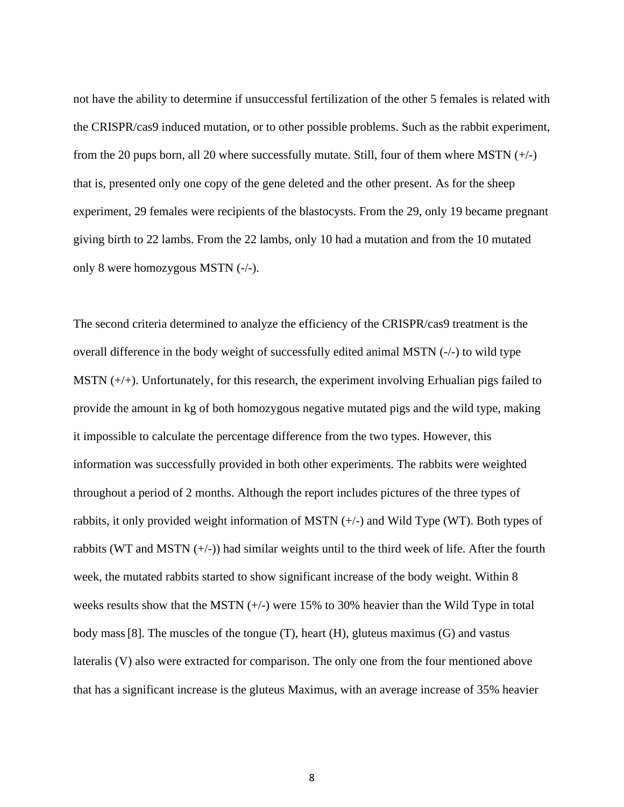not have the ability to determine if unsuccessful fertilization of the other 5 females is related with the CRISPR/cas9 induced mutation, or to other possible problems. Such as the rabbit experiment, from the 20 pups born, all 20 where successfully mutate. Still, four of them where MSTN  $(+/-)$ that is, presented only one copy of the gene deleted and the other present. As for the sheep experiment, 29 females were recipients of the blastocysts. From the 29, only 19 became pregnant giving birth to 22 lambs. From the 22 lambs, only 10 had a mutation and from the 10 mutated only 8 were homozygous MSTN (-/-).

The second criteria determined to analyze the efficiency of the CRISPR/cas9 treatment is the overall difference in the body weight of successfully edited animal MSTN (-/-) to wild type MSTN (+/+). Unfortunately, for this research, the experiment involving Erhualian pigs failed to provide the amount in kg of both homozygous negative mutated pigs and the wild type, making it impossible to calculate the percentage difference from the two types. However, this information was successfully provided in both other experiments. The rabbits were weighted throughout a period of 2 months. Although the report includes pictures of the three types of rabbits, it only provided weight information of MSTN  $(+/-)$  and Wild Type (WT). Both types of rabbits (WT and MSTN  $(+/-)$ ) had similar weights until to the third week of life. After the fourth week, the mutated rabbits started to show significant increase of the body weight. Within 8 weeks results show that the MSTN (+/-) were 15% to 30% heavier than the Wild Type in total body mass[8]. The muscles of the tongue (T), heart (H), gluteus maximus (G) and vastus lateralis (V) also were extracted for comparison. The only one from the four mentioned above that has a significant increase is the gluteus Maximus, with an average increase of 35% heavier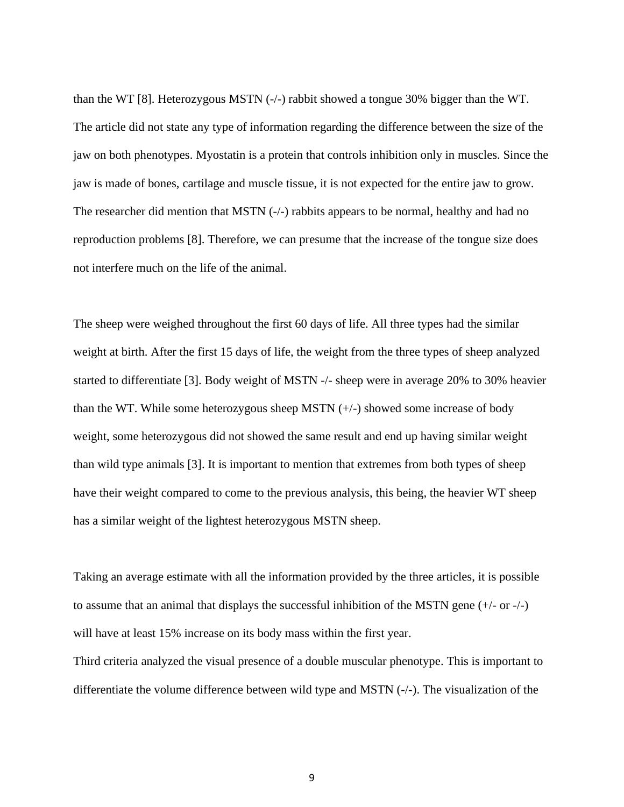than the WT [8]. Heterozygous MSTN (-/-) rabbit showed a tongue 30% bigger than the WT. The article did not state any type of information regarding the difference between the size of the jaw on both phenotypes. Myostatin is a protein that controls inhibition only in muscles. Since the jaw is made of bones, cartilage and muscle tissue, it is not expected for the entire jaw to grow. The researcher did mention that MSTN (-/-) rabbits appears to be normal, healthy and had no reproduction problems [8]. Therefore, we can presume that the increase of the tongue size does not interfere much on the life of the animal.

The sheep were weighed throughout the first 60 days of life. All three types had the similar weight at birth. After the first 15 days of life, the weight from the three types of sheep analyzed started to differentiate [3]. Body weight of MSTN -/- sheep were in average 20% to 30% heavier than the WT. While some heterozygous sheep MSTN  $(+/-)$  showed some increase of body weight, some heterozygous did not showed the same result and end up having similar weight than wild type animals [3]. It is important to mention that extremes from both types of sheep have their weight compared to come to the previous analysis, this being, the heavier WT sheep has a similar weight of the lightest heterozygous MSTN sheep.

Taking an average estimate with all the information provided by the three articles, it is possible to assume that an animal that displays the successful inhibition of the MSTN gene (+/- or -/-) will have at least 15% increase on its body mass within the first year.

Third criteria analyzed the visual presence of a double muscular phenotype. This is important to differentiate the volume difference between wild type and MSTN (-/-). The visualization of the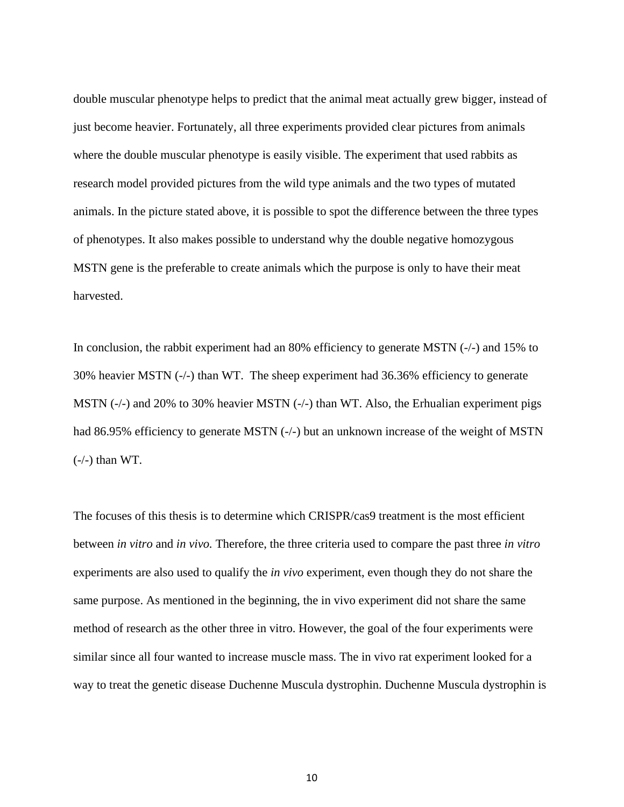double muscular phenotype helps to predict that the animal meat actually grew bigger, instead of just become heavier. Fortunately, all three experiments provided clear pictures from animals where the double muscular phenotype is easily visible. The experiment that used rabbits as research model provided pictures from the wild type animals and the two types of mutated animals. In the picture stated above, it is possible to spot the difference between the three types of phenotypes. It also makes possible to understand why the double negative homozygous MSTN gene is the preferable to create animals which the purpose is only to have their meat harvested.

In conclusion, the rabbit experiment had an 80% efficiency to generate MSTN  $(-/-)$  and 15% to 30% heavier MSTN (-/-) than WT. The sheep experiment had 36.36% efficiency to generate MSTN (-/-) and 20% to 30% heavier MSTN (-/-) than WT. Also, the Erhualian experiment pigs had 86.95% efficiency to generate MSTN (-/-) but an unknown increase of the weight of MSTN  $(-/-)$  than WT.

The focuses of this thesis is to determine which CRISPR/cas9 treatment is the most efficient between *in vitro* and *in vivo.* Therefore, the three criteria used to compare the past three *in vitro* experiments are also used to qualify the *in vivo* experiment, even though they do not share the same purpose. As mentioned in the beginning, the in vivo experiment did not share the same method of research as the other three in vitro. However, the goal of the four experiments were similar since all four wanted to increase muscle mass. The in vivo rat experiment looked for a way to treat the genetic disease Duchenne Muscula dystrophin. Duchenne Muscula dystrophin is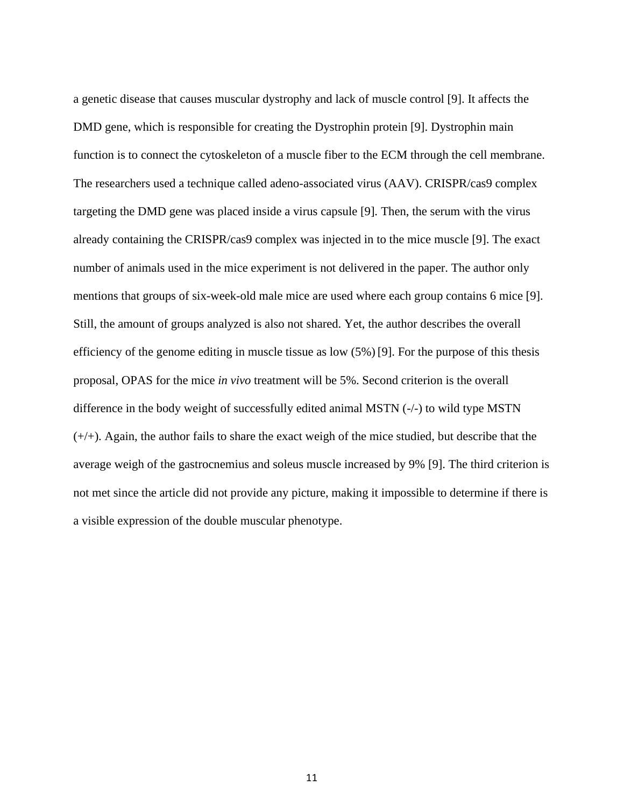a genetic disease that causes muscular dystrophy and lack of muscle control [9]. It affects the DMD gene, which is responsible for creating the Dystrophin protein [9]. Dystrophin main function is to connect the cytoskeleton of a muscle fiber to the ECM through the cell membrane. The researchers used a technique called adeno-associated virus (AAV). CRISPR/cas9 complex targeting the DMD gene was placed inside a virus capsule [9]. Then, the serum with the virus already containing the CRISPR/cas9 complex was injected in to the mice muscle [9]. The exact number of animals used in the mice experiment is not delivered in the paper. The author only mentions that groups of six-week-old male mice are used where each group contains 6 mice [9]. Still, the amount of groups analyzed is also not shared. Yet, the author describes the overall efficiency of the genome editing in muscle tissue as low (5%) [9]. For the purpose of this thesis proposal, OPAS for the mice *in vivo* treatment will be 5%. Second criterion is the overall difference in the body weight of successfully edited animal MSTN (-/-) to wild type MSTN (+/+). Again, the author fails to share the exact weigh of the mice studied, but describe that the average weigh of the gastrocnemius and soleus muscle increased by 9% [9]. The third criterion is not met since the article did not provide any picture, making it impossible to determine if there is a visible expression of the double muscular phenotype.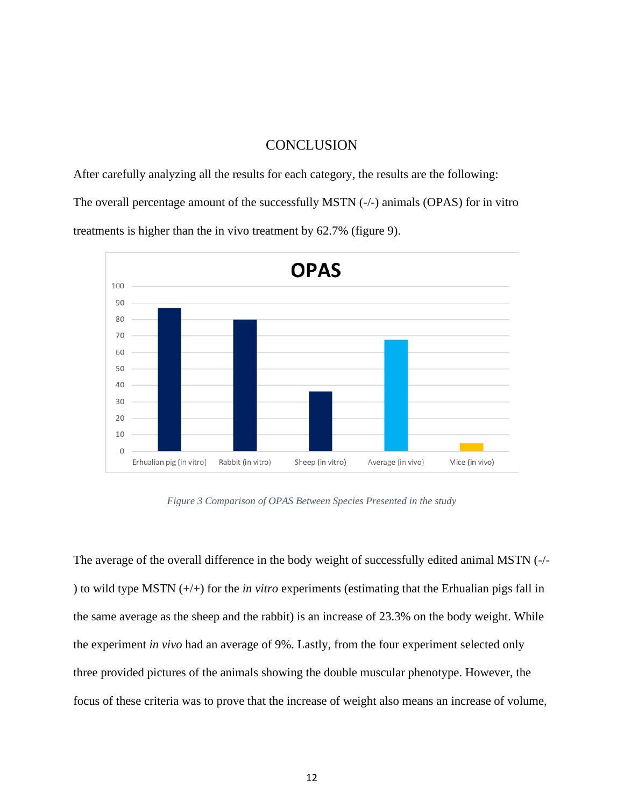## **CONCLUSION**

<span id="page-15-0"></span>After carefully analyzing all the results for each category, the results are the following: The overall percentage amount of the successfully MSTN (-/-) animals (OPAS) for in vitro treatments is higher than the in vivo treatment by 62.7% (figure 9).



*Figure 3 Comparison of OPAS Between Species Presented in the study*

The average of the overall difference in the body weight of successfully edited animal MSTN (-/- ) to wild type MSTN (+/+) for the *in vitro* experiments (estimating that the Erhualian pigs fall in the same average as the sheep and the rabbit) is an increase of 23.3% on the body weight. While the experiment *in vivo* had an average of 9%. Lastly, from the four experiment selected only three provided pictures of the animals showing the double muscular phenotype. However, the focus of these criteria was to prove that the increase of weight also means an increase of volume,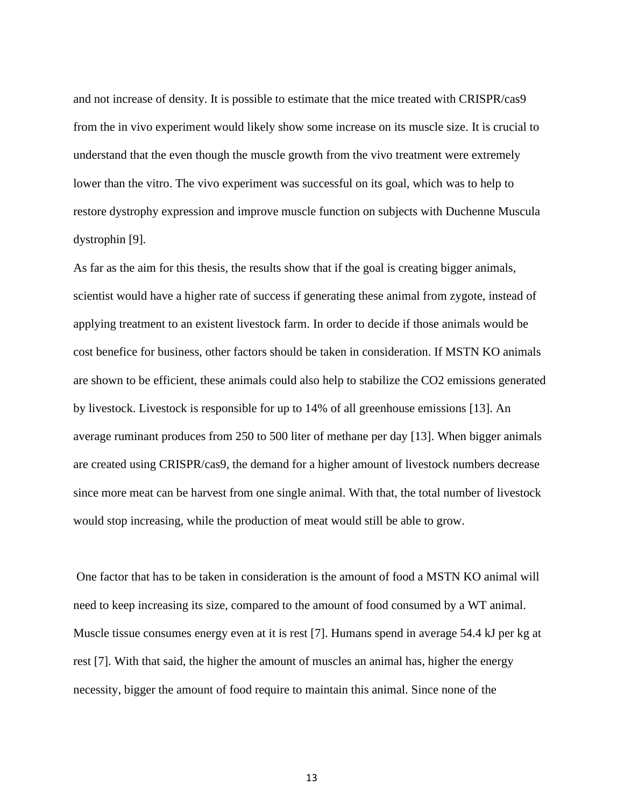and not increase of density. It is possible to estimate that the mice treated with CRISPR/cas9 from the in vivo experiment would likely show some increase on its muscle size. It is crucial to understand that the even though the muscle growth from the vivo treatment were extremely lower than the vitro. The vivo experiment was successful on its goal, which was to help to restore dystrophy expression and improve muscle function on subjects with Duchenne Muscula dystrophin [9].

As far as the aim for this thesis, the results show that if the goal is creating bigger animals, scientist would have a higher rate of success if generating these animal from zygote, instead of applying treatment to an existent livestock farm. In order to decide if those animals would be cost benefice for business, other factors should be taken in consideration. If MSTN KO animals are shown to be efficient, these animals could also help to stabilize the CO2 emissions generated by livestock. Livestock is responsible for up to 14% of all greenhouse emissions [13]. An average ruminant produces from 250 to 500 liter of methane per day [13]. When bigger animals are created using CRISPR/cas9, the demand for a higher amount of livestock numbers decrease since more meat can be harvest from one single animal. With that, the total number of livestock would stop increasing, while the production of meat would still be able to grow.

One factor that has to be taken in consideration is the amount of food a MSTN KO animal will need to keep increasing its size, compared to the amount of food consumed by a WT animal. Muscle tissue consumes energy even at it is rest [7]. Humans spend in average 54.4 kJ per kg at rest [7]. With that said, the higher the amount of muscles an animal has, higher the energy necessity, bigger the amount of food require to maintain this animal. Since none of the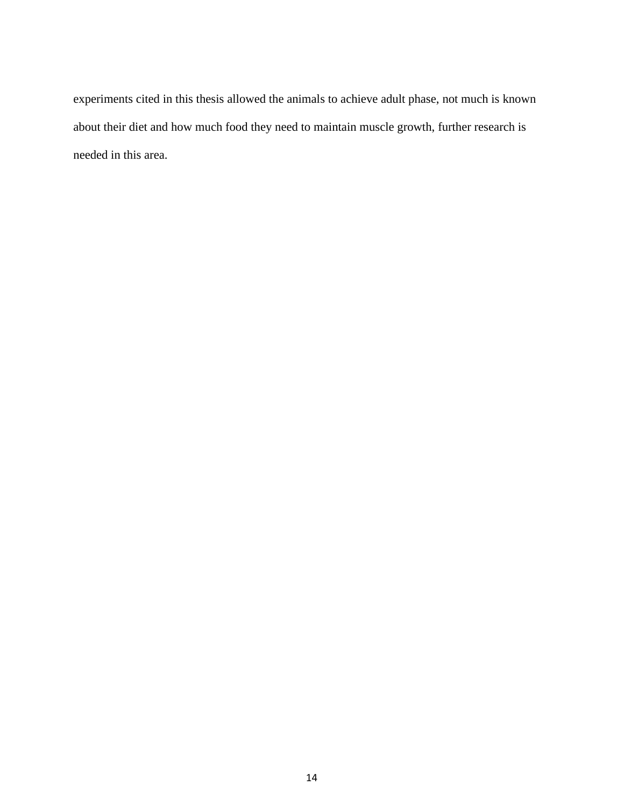experiments cited in this thesis allowed the animals to achieve adult phase, not much is known about their diet and how much food they need to maintain muscle growth, further research is needed in this area.